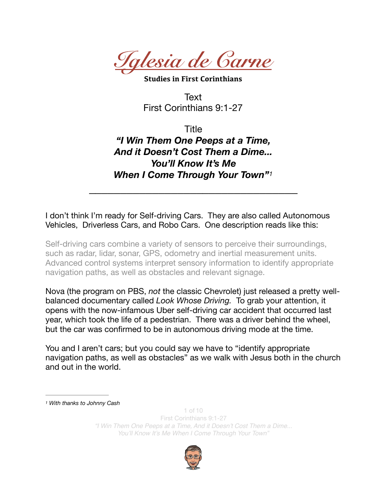

**Studies in First Corinthians** 

<span id="page-0-1"></span>Text First Corinthians 9:1-27

Title *"I Win Them One Peeps at a Time, And it Doesn't Cost Them a Dime... You'll Know It's Me When I Come Through Your Town"[1](#page-0-0)*

*\_\_\_\_\_\_\_\_\_\_\_\_\_\_\_\_\_\_\_\_\_\_\_\_\_\_\_\_\_\_\_\_\_* 

I don't think I'm ready for Self-driving Cars. They are also called Autonomous Vehicles, Driverless Cars, and Robo Cars. One description reads like this:

Self-driving cars combine a variety of sensors to perceive their surroundings, such as [radar,](https://en.wikipedia.org/wiki/Radar) [lidar,](https://en.wikipedia.org/wiki/Lidar) [sonar,](https://en.wikipedia.org/wiki/Sonar) [GPS](https://en.wikipedia.org/wiki/GPS), [odometry](https://en.wikipedia.org/wiki/Odometry) and [inertial measurement units.](https://en.wikipedia.org/wiki/Inertial_measurement_unit) Advanced [control systems](https://en.wikipedia.org/wiki/Control_system) interpret [sensory information](https://en.wikipedia.org/wiki/Sensory_information) to identify appropriate navigation paths, as well as obstacles and relevant [signage.](https://en.wikipedia.org/wiki/Road_signs)

Nova (the program on PBS, *not* the classic Chevrolet) just released a pretty wellbalanced documentary called *Look Whose Driving.* To grab your attention, it opens with the now-infamous Uber self-driving car accident that occurred last year, which took the life of a pedestrian. There was a driver behind the wheel, but the car was confirmed to be in autonomous driving mode at the time.

You and I aren't cars; but you could say we have to "identify appropriate navigation paths, as well as obstacles" as we walk with Jesus both in the church and out in the world.

<span id="page-0-0"></span>*[1](#page-0-1) With thanks to Johnny Cash*

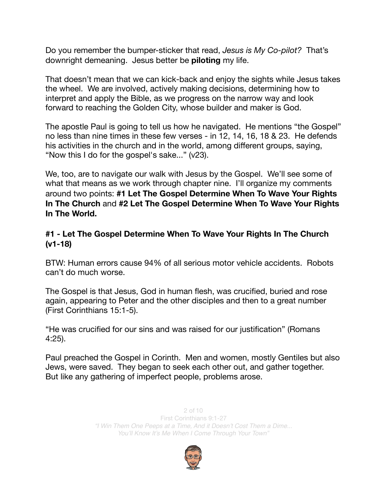Do you remember the bumper-sticker that read, *Jesus is My Co-pilot?* That's downright demeaning. Jesus better be **piloting** my life.

That doesn't mean that we can kick-back and enjoy the sights while Jesus takes the wheel. We are involved, actively making decisions, determining how to interpret and apply the Bible, as we progress on the narrow way and look forward to reaching the Golden City, whose builder and maker is God.

The apostle Paul is going to tell us how he navigated. He mentions "the Gospel" no less than nine times in these few verses - in 12, 14, 16, 18 & 23. He defends his activities in the church and in the world, among different groups, saying, "Now this I do for the gospel's sake..." (v23).

We, too, are to navigate our walk with Jesus by the Gospel. We'll see some of what that means as we work through chapter nine. I'll organize my comments around two points: **#1 Let The Gospel Determine When To Wave Your Rights In The Church** and **#2 Let The Gospel Determine When To Wave Your Rights In The World.** 

## **#1 - Let The Gospel Determine When To Wave Your Rights In The Church (v1-18)**

BTW: Human errors cause 94% of all serious motor vehicle accidents. Robots can't do much worse.

The Gospel is that Jesus, God in human flesh, was crucified, buried and rose again, appearing to Peter and the other disciples and then to a great number (First Corinthians 15:1-5).

"He was crucified for our sins and was raised for our justification" (Romans 4:25).

Paul preached the Gospel in Corinth. Men and women, mostly Gentiles but also Jews, were saved. They began to seek each other out, and gather together. But like any gathering of imperfect people, problems arose.

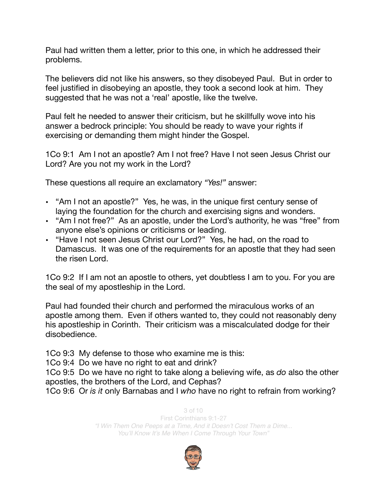Paul had written them a letter, prior to this one, in which he addressed their problems.

The believers did not like his answers, so they disobeyed Paul. But in order to feel justified in disobeying an apostle, they took a second look at him. They suggested that he was not a 'real' apostle, like the twelve.

Paul felt he needed to answer their criticism, but he skillfully wove into his answer a bedrock principle: You should be ready to wave your rights if exercising or demanding them might hinder the Gospel.

1Co 9:1 Am I not an apostle? Am I not free? Have I not seen Jesus Christ our Lord? Are you not my work in the Lord?

These questions all require an exclamatory *"Yes!"* answer:

- "Am I not an apostle?" Yes, he was, in the unique first century sense of laying the foundation for the church and exercising signs and wonders.
- "Am I not free?" As an apostle, under the Lord's authority, he was "free" from anyone else's opinions or criticisms or leading.
- "Have I not seen Jesus Christ our Lord?" Yes, he had, on the road to Damascus. It was one of the requirements for an apostle that they had seen the risen Lord.

1Co 9:2 If I am not an apostle to others, yet doubtless I am to you. For you are the seal of my apostleship in the Lord.

Paul had founded their church and performed the miraculous works of an apostle among them. Even if others wanted to, they could not reasonably deny his apostleship in Corinth. Their criticism was a miscalculated dodge for their disobedience.

1Co 9:3 My defense to those who examine me is this:

1Co 9:4 Do we have no right to eat and drink?

1Co 9:5 Do we have no right to take along a believing wife, as *do* also the other apostles, the brothers of the Lord, and Cephas?

1Co 9:6 Or *is it* only Barnabas and I *who* have no right to refrain from working?

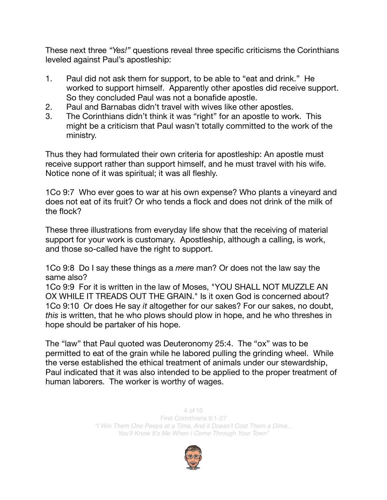These next three *"Yes!"* questions reveal three specific criticisms the Corinthians leveled against Paul's apostleship:

- 1. Paul did not ask them for support, to be able to "eat and drink." He worked to support himself. Apparently other apostles did receive support. So they concluded Paul was not a bonafide apostle.
- 2. Paul and Barnabas didn't travel with wives like other apostles.
- 3. The Corinthians didn't think it was "right" for an apostle to work. This might be a criticism that Paul wasn't totally committed to the work of the ministry.

Thus they had formulated their own criteria for apostleship: An apostle must receive support rather than support himself, and he must travel with his wife. Notice none of it was spiritual; it was all fleshly.

1Co 9:7 Who ever goes to war at his own expense? Who plants a vineyard and does not eat of its fruit? Or who tends a flock and does not drink of the milk of the flock?

These three illustrations from everyday life show that the receiving of material support for your work is customary. Apostleship, although a calling, is work, and those so-called have the right to support.

1Co 9:8 Do I say these things as a *mere* man? Or does not the law say the same also?

1Co 9:9 For it is written in the law of Moses, "YOU SHALL NOT MUZZLE AN OX WHILE IT TREADS OUT THE GRAIN." Is it oxen God is concerned about? 1Co 9:10 Or does He say *it* altogether for our sakes? For our sakes, no doubt, *this* is written, that he who plows should plow in hope, and he who threshes in hope should be partaker of his hope.

The "law" that Paul quoted was Deuteronomy 25:4. The "ox" was to be permitted to eat of the grain while he labored pulling the grinding wheel. While the verse established the ethical treatment of animals under our stewardship, Paul indicated that it was also intended to be applied to the proper treatment of human laborers. The worker is worthy of wages.

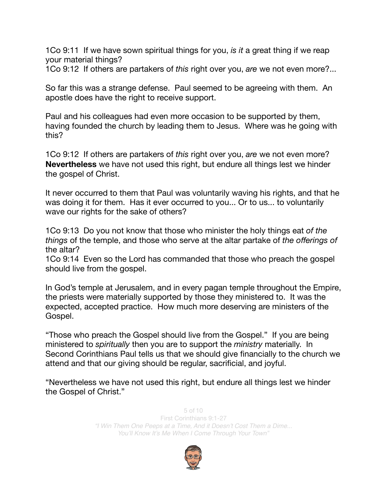1Co 9:11 If we have sown spiritual things for you, *is it* a great thing if we reap your material things?

1Co 9:12 If others are partakers of *this* right over you, *are* we not even more?...

So far this was a strange defense. Paul seemed to be agreeing with them. An apostle does have the right to receive support.

Paul and his colleagues had even more occasion to be supported by them, having founded the church by leading them to Jesus. Where was he going with this?

1Co 9:12 If others are partakers of *this* right over you, *are* we not even more? **Nevertheless** we have not used this right, but endure all things lest we hinder the gospel of Christ.

It never occurred to them that Paul was voluntarily waving his rights, and that he was doing it for them. Has it ever occurred to you... Or to us... to voluntarily wave our rights for the sake of others?

1Co 9:13 Do you not know that those who minister the holy things eat *of the things* of the temple, and those who serve at the altar partake of *the offerings of* the altar?

1Co 9:14 Even so the Lord has commanded that those who preach the gospel should live from the gospel.

In God's temple at Jerusalem, and in every pagan temple throughout the Empire, the priests were materially supported by those they ministered to. It was the expected, accepted practice. How much more deserving are ministers of the Gospel.

"Those who preach the Gospel should live from the Gospel." If you are being ministered to *spiritually* then you are to support the *ministry* materially. In Second Corinthians Paul tells us that we should give financially to the church we attend and that our giving should be regular, sacrificial, and joyful.

"Nevertheless we have not used this right, but endure all things lest we hinder the Gospel of Christ."

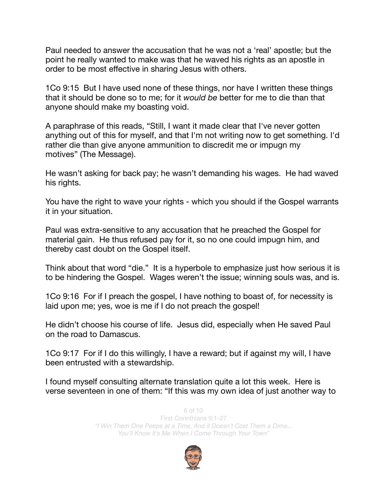Paul needed to answer the accusation that he was not a 'real' apostle; but the point he really wanted to make was that he waved his rights as an apostle in order to be most effective in sharing Jesus with others.

1Co 9:15 But I have used none of these things, nor have I written these things that it should be done so to me; for it *would be* better for me to die than that anyone should make my boasting void.

A paraphrase of this reads, "Still, I want it made clear that I've never gotten anything out of this for myself, and that I'm not writing now to get something. I'd rather die than give anyone ammunition to discredit me or impugn my motives" (The Message).

He wasn't asking for back pay; he wasn't demanding his wages. He had waved his rights.

You have the right to wave your rights - which you should if the Gospel warrants it in your situation.

Paul was extra-sensitive to any accusation that he preached the Gospel for material gain. He thus refused pay for it, so no one could impugn him, and thereby cast doubt on the Gospel itself.

Think about that word "die." It is a hyperbole to emphasize just how serious it is to be hindering the Gospel. Wages weren't the issue; winning souls was, and is.

1Co 9:16 For if I preach the gospel, I have nothing to boast of, for necessity is laid upon me; yes, woe is me if I do not preach the gospel!

He didn't choose his course of life. Jesus did, especially when He saved Paul on the road to Damascus.

1Co 9:17 For if I do this willingly, I have a reward; but if against my will, I have been entrusted with a stewardship.

I found myself consulting alternate translation quite a lot this week. Here is verse seventeen in one of them: "If this was my own idea of just another way to

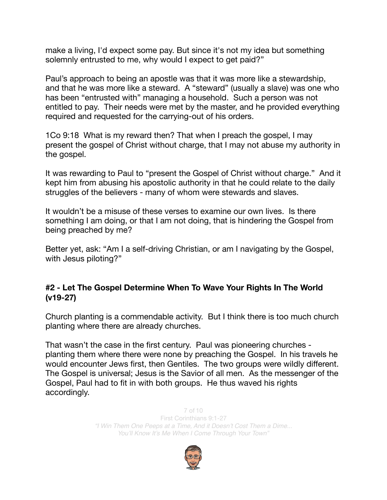make a living, I'd expect some pay. But since it's not my idea but something solemnly entrusted to me, why would I expect to get paid?"

Paul's approach to being an apostle was that it was more like a stewardship, and that he was more like a steward. A "steward" (usually a slave) was one who has been "entrusted with" managing a household. Such a person was not entitled to pay. Their needs were met by the master, and he provided everything required and requested for the carrying-out of his orders.

1Co 9:18 What is my reward then? That when I preach the gospel, I may present the gospel of Christ without charge, that I may not abuse my authority in the gospel.

It was rewarding to Paul to "present the Gospel of Christ without charge." And it kept him from abusing his apostolic authority in that he could relate to the daily struggles of the believers - many of whom were stewards and slaves.

It wouldn't be a misuse of these verses to examine our own lives. Is there something I am doing, or that I am not doing, that is hindering the Gospel from being preached by me?

Better yet, ask: "Am I a self-driving Christian, or am I navigating by the Gospel, with Jesus piloting?"

## **#2 - Let The Gospel Determine When To Wave Your Rights In The World (v19-27)**

Church planting is a commendable activity. But I think there is too much church planting where there are already churches.

That wasn't the case in the first century. Paul was pioneering churches planting them where there were none by preaching the Gospel. In his travels he would encounter Jews first, then Gentiles. The two groups were wildly different. The Gospel is universal; Jesus is the Savior of all men. As the messenger of the Gospel, Paul had to fit in with both groups. He thus waved his rights accordingly.

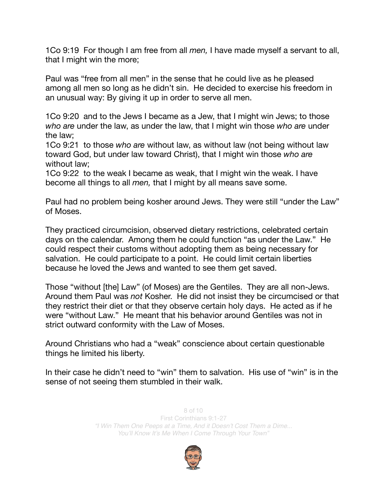1Co 9:19 For though I am free from all *men,* I have made myself a servant to all, that I might win the more;

Paul was "free from all men" in the sense that he could live as he pleased among all men so long as he didn't sin. He decided to exercise his freedom in an unusual way: By giving it up in order to serve all men.

1Co 9:20 and to the Jews I became as a Jew, that I might win Jews; to those *who are* under the law, as under the law, that I might win those *who are* under the law;

1Co 9:21 to those *who are* without law, as without law (not being without law toward God, but under law toward Christ), that I might win those *who are* without law;

1Co 9:22 to the weak I became as weak, that I might win the weak. I have become all things to all *men,* that I might by all means save some.

Paul had no problem being kosher around Jews. They were still "under the Law" of Moses.

They practiced circumcision, observed dietary restrictions, celebrated certain days on the calendar. Among them he could function "as under the Law." He could respect their customs without adopting them as being necessary for salvation. He could participate to a point. He could limit certain liberties because he loved the Jews and wanted to see them get saved.

Those "without [the] Law" (of Moses) are the Gentiles. They are all non-Jews. Around them Paul was *not* Kosher. He did not insist they be circumcised or that they restrict their diet or that they observe certain holy days. He acted as if he were "without Law." He meant that his behavior around Gentiles was not in strict outward conformity with the Law of Moses.

Around Christians who had a "weak" conscience about certain questionable things he limited his liberty.

In their case he didn't need to "win" them to salvation. His use of "win" is in the sense of not seeing them stumbled in their walk.

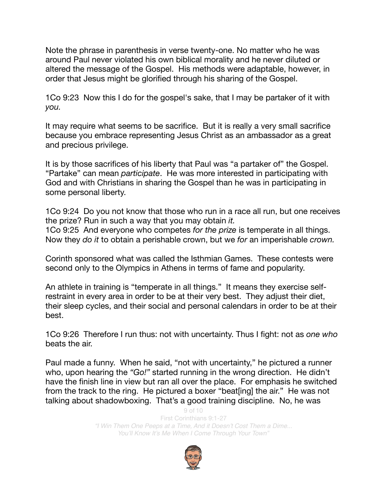Note the phrase in parenthesis in verse twenty-one. No matter who he was around Paul never violated his own biblical morality and he never diluted or altered the message of the Gospel. His methods were adaptable, however, in order that Jesus might be glorified through his sharing of the Gospel.

1Co 9:23 Now this I do for the gospel's sake, that I may be partaker of it with *you.* 

It may require what seems to be sacrifice. But it is really a very small sacrifice because you embrace representing Jesus Christ as an ambassador as a great and precious privilege.

It is by those sacrifices of his liberty that Paul was "a partaker of" the Gospel. "Partake" can mean *participate*. He was more interested in participating with God and with Christians in sharing the Gospel than he was in participating in some personal liberty.

1Co 9:24 Do you not know that those who run in a race all run, but one receives the prize? Run in such a way that you may obtain *it.* 1Co 9:25 And everyone who competes *for the prize* is temperate in all things. Now they *do it* to obtain a perishable crown, but we *for* an imperishable *crown.*

Corinth sponsored what was called the Isthmian Games. These contests were second only to the Olympics in Athens in terms of fame and popularity.

An athlete in training is "temperate in all things." It means they exercise selfrestraint in every area in order to be at their very best. They adjust their diet, their sleep cycles, and their social and personal calendars in order to be at their best.

1Co 9:26 Therefore I run thus: not with uncertainty. Thus I fight: not as *one who* beats the air.

Paul made a funny. When he said, "not with uncertainty," he pictured a runner who, upon hearing the *"Go!"* started running in the wrong direction. He didn't have the finish line in view but ran all over the place. For emphasis he switched from the track to the ring. He pictured a boxer "beat[ing] the air." He was not talking about shadowboxing. That's a good training discipline. No, he was